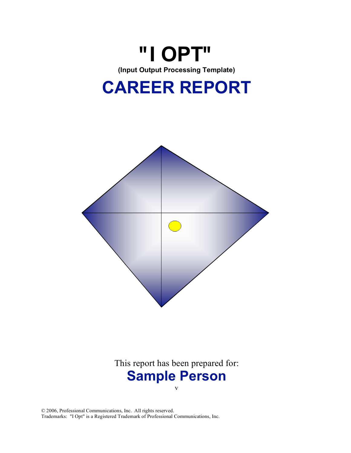





# This report has been prepared for: **Sample Person** v

© 2006, Professional Communications, Inc. All rights reserved. Trademarks: "I Opt" is a Registered Trademark of Professional Communications, Inc.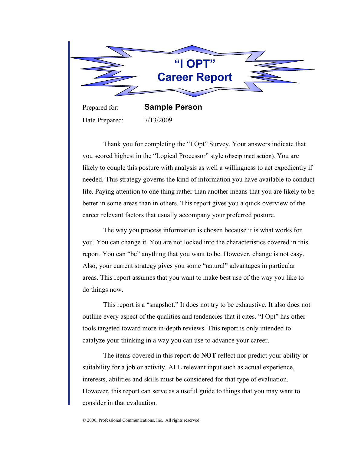

Prepared for: **Sample Person** Date Prepared: 7/13/2009

Thank you for completing the "I Opt" Survey. Your answers indicate that you scored highest in the "Logical Processor" style (disciplined action). You are likely to couple this posture with analysis as well a willingness to act expediently if needed. This strategy governs the kind of information you have available to conduct life. Paying attention to one thing rather than another means that you are likely to be better in some areas than in others. This report gives you a quick overview of the career relevant factors that usually accompany your preferred posture.

The way you process information is chosen because it is what works for you. You can change it. You are not locked into the characteristics covered in this report. You can "be" anything that you want to be. However, change is not easy. Also, your current strategy gives you some "natural" advantages in particular areas. This report assumes that you want to make best use of the way you like to do things now.

This report is a "snapshot." It does not try to be exhaustive. It also does not outline every aspect of the qualities and tendencies that it cites. "I Opt" has other tools targeted toward more in-depth reviews. This report is only intended to catalyze your thinking in a way you can use to advance your career.

The items covered in this report do **NOT** reflect nor predict your ability or suitability for a job or activity. ALL relevant input such as actual experience, interests, abilities and skills must be considered for that type of evaluation. However, this report can serve as a useful guide to things that you may want to consider in that evaluation.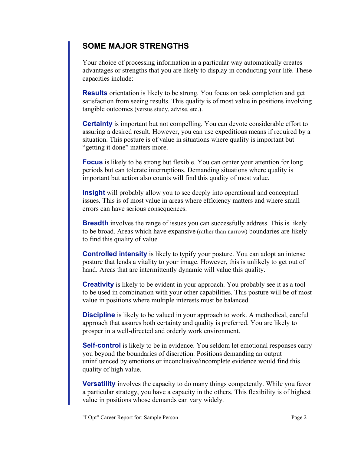### **SOME MAJOR STRENGTHS**

Your choice of processing information in a particular way automatically creates advantages or strengths that you are likely to display in conducting your life. These capacities include:

**Results** orientation is likely to be strong. You focus on task completion and get satisfaction from seeing results. This quality is of most value in positions involving tangible outcomes (versus study, advise, etc.).

**Certainty** is important but not compelling. You can devote considerable effort to assuring a desired result. However, you can use expeditious means if required by a situation. This posture is of value in situations where quality is important but "getting it done" matters more.

**Focus** is likely to be strong but flexible. You can center your attention for long periods but can tolerate interruptions. Demanding situations where quality is important but action also counts will find this quality of most value.

**Insight** will probably allow you to see deeply into operational and conceptual issues. This is of most value in areas where efficiency matters and where small errors can have serious consequences.

**Breadth** involves the range of issues you can successfully address. This is likely to be broad. Areas which have expansive (rather than narrow) boundaries are likely to find this quality of value.

**Controlled intensity** is likely to typify your posture. You can adopt an intense posture that lends a vitality to your image. However, this is unlikely to get out of hand. Areas that are intermittently dynamic will value this quality.

**Creativity** is likely to be evident in your approach. You probably see it as a tool to be used in combination with your other capabilities. This posture will be of most value in positions where multiple interests must be balanced.

**Discipline** is likely to be valued in your approach to work. A methodical, careful approach that assures both certainty and quality is preferred. You are likely to prosper in a well-directed and orderly work environment.

**Self-control** is likely to be in evidence. You seldom let emotional responses carry you beyond the boundaries of discretion. Positions demanding an output uninfluenced by emotions or inconclusive/incomplete evidence would find this quality of high value.

**Versatility** involves the capacity to do many things competently. While you favor a particular strategy, you have a capacity in the others. This flexibility is of highest value in positions whose demands can vary widely.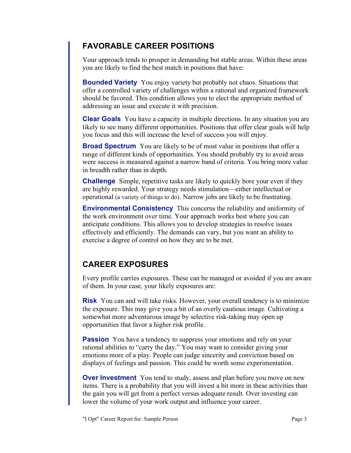### **FAVORABLE CAREER POSITIONS**

Your approach tends to prosper in demanding but stable areas. Within these areas you are likely to find the best match in positions that have:

**Bounded Variety** You enjoy variety but probably not chaos. Situations that offer a controlled variety of challenges within a rational and organized framework should be favored. This condition allows you to elect the appropriate method of addressing an issue and execute it with precision.

**Clear Goals** You have a capacity in multiple directions. In any situation you are likely to see many different opportunities. Positions that offer clear goals will help you focus and this will increase the level of success you will enjoy.

**Broad Spectrum** You are likely to be of most value in positions that offer a range of different kinds of opportunities. You should probably try to avoid areas were success is measured against a narrow band of criteria. You bring more value in breadth rather than in depth.

**Challenge** Simple, repetitive tasks are likely to quickly bore your even if they are highly rewarded. Your strategy needs stimulation—either intellectual or operational (a variety of things to do). Narrow jobs are likely to be frustrating.

**Environmental Consistency** This concerns the reliability and uniformity of the work environment over time. Your approach works best where you can anticipate conditions. This allows you to develop strategies to resolve issues effectively and efficiently. The demands can vary, but you want an ability to exercise a degree of control on how they are to be met.

## **CAREER EXPOSURES**

Every profile carries exposures. These can be managed or avoided if you are aware of them. In your case, your likely exposures are:

**Risk** You can and will take risks. However, your overall tendency is to minimize the exposure. This may give you a bit of an overly cautious image. Cultivating a somewhat more adventurous image by selective risk-taking may open up opportunities that favor a higher risk profile.

**Passion** You have a tendency to suppress your emotions and rely on your rational abilities to "carry the day." You may want to consider giving your emotions more of a play. People can judge sincerity and conviction based on displays of feelings and passion. This could be worth some experimentation.

**Over Investment** You tend to study, assess and plan before you move on new items. There is a probability that you will invest a bit more in these activities than the gain you will get from a perfect versus adequate result. Over investing can lower the volume of your work output and influence your career.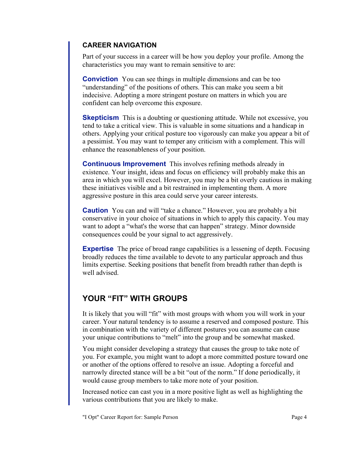### **CAREER NAVIGATION**

Part of your success in a career will be how you deploy your profile. Among the characteristics you may want to remain sensitive to are:

**Conviction** You can see things in multiple dimensions and can be too "understanding" of the positions of others. This can make you seem a bit indecisive. Adopting a more stringent posture on matters in which you are confident can help overcome this exposure.

**Skepticism** This is a doubting or questioning attitude. While not excessive, you tend to take a critical view. This is valuable in some situations and a handicap in others. Applying your critical posture too vigorously can make you appear a bit of a pessimist. You may want to temper any criticism with a complement. This will enhance the reasonableness of your position.

**Continuous Improvement** This involves refining methods already in existence. Your insight, ideas and focus on efficiency will probably make this an area in which you will excel. However, you may be a bit overly cautious in making these initiatives visible and a bit restrained in implementing them. A more aggressive posture in this area could serve your career interests.

**Caution** You can and will "take a chance." However, you are probably a bit conservative in your choice of situations in which to apply this capacity. You may want to adopt a "what's the worse that can happen" strategy. Minor downside consequences could be your signal to act aggressively.

**Expertise** The price of broad range capabilities is a lessening of depth. Focusing broadly reduces the time available to devote to any particular approach and thus limits expertise. Seeking positions that benefit from breadth rather than depth is well advised.

### **YOUR "FIT" WITH GROUPS**

It is likely that you will "fit" with most groups with whom you will work in your career. Your natural tendency is to assume a reserved and composed posture. This in combination with the variety of different postures you can assume can cause your unique contributions to "melt" into the group and be somewhat masked.

You might consider developing a strategy that causes the group to take note of you. For example, you might want to adopt a more committed posture toward one or another of the options offered to resolve an issue. Adopting a forceful and narrowly directed stance will be a bit "out of the norm." If done periodically, it would cause group members to take more note of your position.

Increased notice can cast you in a more positive light as well as highlighting the various contributions that you are likely to make.

"I Opt" Career Report for: Sample Person Page 4